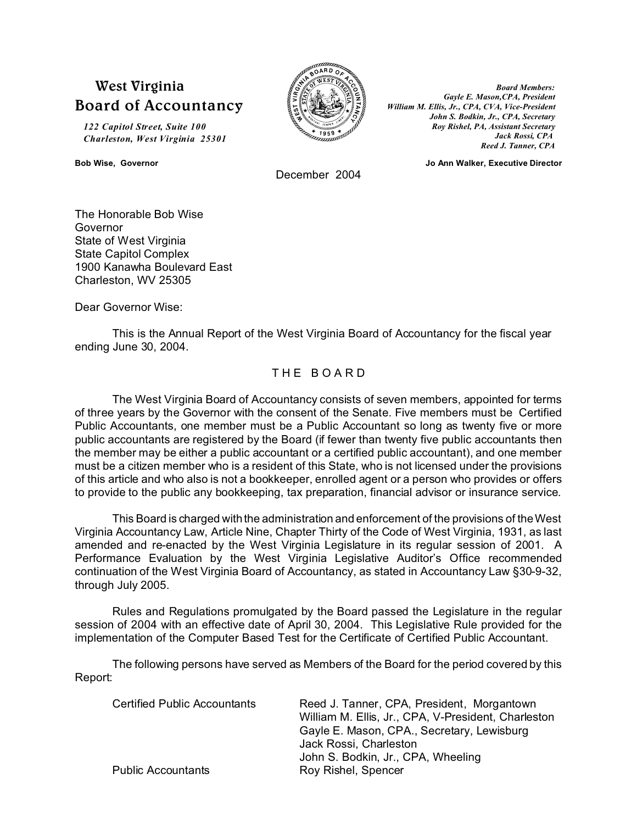# **West Virginia Board of Accountancy**

*122 Capitol Street, Suite 100 Charleston, West Virginia 25301*

December 2004

*Board Members: Gayle E. Mason,CPA, President William M. Ellis, Jr., CPA, CVA, Vice-President John S. Bodkin, Jr., CPA, Secretary Roy Rishel, PA, Assistant Secretary Jack Rossi, CPA Reed J. Tanner, CPA*

**Bob Wise, Governor Jo Ann Walker, Executive Director**

The Honorable Bob Wise Governor State of West Virginia State Capitol Complex 1900 Kanawha Boulevard East Charleston, WV 25305

Dear Governor Wise:

This is the Annual Report of the West Virginia Board of Accountancy for the fiscal year ending June 30, 2004.

## THE BOARD

The West Virginia Board of Accountancy consists of seven members, appointed for terms of three years by the Governor with the consent of the Senate. Five members must be Certified Public Accountants, one member must be a Public Accountant so long as twenty five or more public accountants are registered by the Board (if fewer than twenty five public accountants then the member may be either a public accountant or a certified public accountant), and one member must be a citizen member who is a resident of this State, who is not licensed under the provisions of this article and who also is not a bookkeeper, enrolled agent or a person who provides or offers to provide to the public any bookkeeping, tax preparation, financial advisor or insurance service.

This Board is charged with the administration and enforcement of the provisions of the West Virginia Accountancy Law, Article Nine, Chapter Thirty of the Code of West Virginia, 1931, as last amended and re-enacted by the West Virginia Legislature in its regular session of 2001. A Performance Evaluation by the West Virginia Legislative Auditor's Office recommended continuation of the West Virginia Board of Accountancy, as stated in Accountancy Law §30-9-32, through July 2005.

Rules and Regulations promulgated by the Board passed the Legislature in the regular session of 2004 with an effective date of April 30, 2004. This Legislative Rule provided for the implementation of the Computer Based Test for the Certificate of Certified Public Accountant.

The following persons have served as Members of the Board for the period covered by this Report:

| <b>Certified Public Accountants</b> | Reed J. Tanner, CPA, President, Morgantown<br>William M. Ellis, Jr., CPA, V-President, Charleston |  |  |
|-------------------------------------|---------------------------------------------------------------------------------------------------|--|--|
|                                     | Gayle E. Mason, CPA., Secretary, Lewisburg<br>Jack Rossi, Charleston                              |  |  |
|                                     | John S. Bodkin, Jr., CPA, Wheeling                                                                |  |  |
| <b>Public Accountants</b>           | Roy Rishel, Spencer                                                                               |  |  |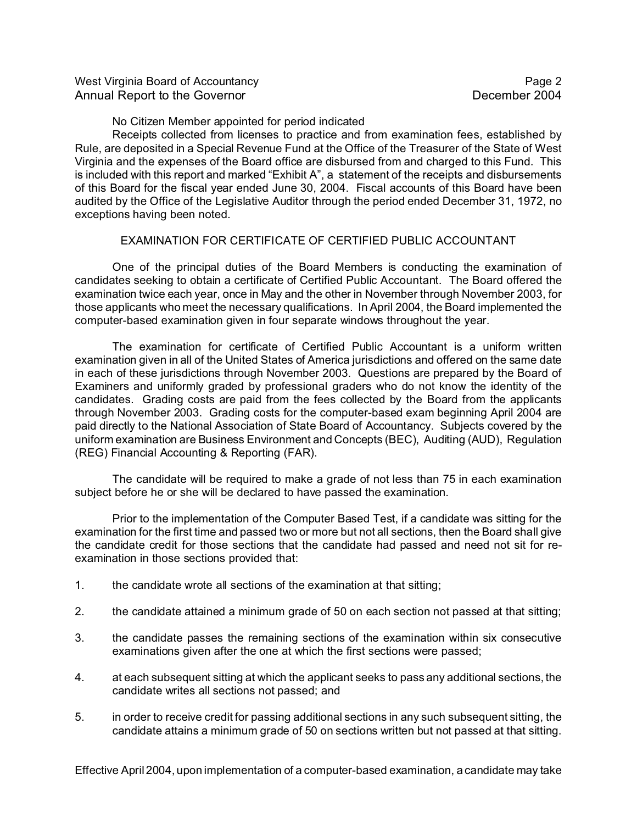West Virginia Board of Accountancy **Page 2** and the Virginia Board of Accountancy Annual Report to the Governor **December 2004** 

No Citizen Member appointed for period indicated

Receipts collected from licenses to practice and from examination fees, established by Rule, are deposited in a Special Revenue Fund at the Office of the Treasurer of the State of West Virginia and the expenses of the Board office are disbursed from and charged to this Fund. This is included with this report and marked "Exhibit A", a statement of the receipts and disbursements of this Board for the fiscal year ended June 30, 2004. Fiscal accounts of this Board have been audited by the Office of the Legislative Auditor through the period ended December 31, 1972, no exceptions having been noted.

### EXAMINATION FOR CERTIFICATE OF CERTIFIED PUBLIC ACCOUNTANT

One of the principal duties of the Board Members is conducting the examination of candidates seeking to obtain a certificate of Certified Public Accountant. The Board offered the examination twice each year, once in May and the other in November through November 2003, for those applicants who meet the necessary qualifications. In April 2004, the Board implemented the computer-based examination given in four separate windows throughout the year.

The examination for certificate of Certified Public Accountant is a uniform written examination given in all of the United States of America jurisdictions and offered on the same date in each of these jurisdictions through November 2003. Questions are prepared by the Board of Examiners and uniformly graded by professional graders who do not know the identity of the candidates. Grading costs are paid from the fees collected by the Board from the applicants through November 2003. Grading costs for the computer-based exam beginning April 2004 are paid directly to the National Association of State Board of Accountancy. Subjects covered by the uniform examination are Business Environment and Concepts (BEC), Auditing (AUD), Regulation (REG) Financial Accounting & Reporting (FAR).

The candidate will be required to make a grade of not less than 75 in each examination subject before he or she will be declared to have passed the examination.

Prior to the implementation of the Computer Based Test, if a candidate was sitting for the examination for the first time and passed two or more but not all sections, then the Board shall give the candidate credit for those sections that the candidate had passed and need not sit for reexamination in those sections provided that:

- 1. the candidate wrote all sections of the examination at that sitting;
- 2. the candidate attained a minimum grade of 50 on each section not passed at that sitting;
- 3. the candidate passes the remaining sections of the examination within six consecutive examinations given after the one at which the first sections were passed;
- 4. at each subsequent sitting at which the applicant seeks to pass any additional sections, the candidate writes all sections not passed; and
- 5. in order to receive credit for passing additional sections in any such subsequent sitting, the candidate attains a minimum grade of 50 on sections written but not passed at that sitting.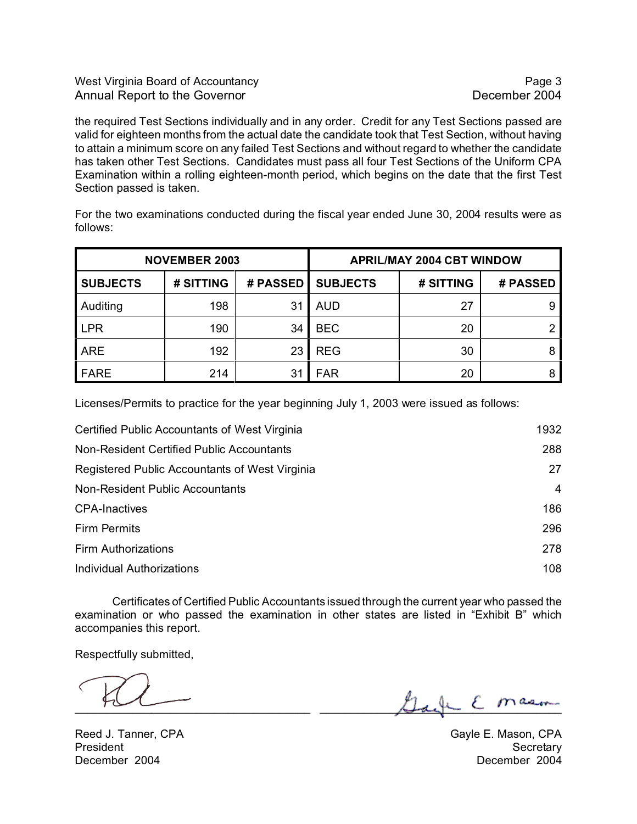### West Virginia Board of Accountancy **Page 3** and the **Page 3** and the **Page 3** Annual Report to the Governor **December 2004**

the required Test Sections individually and in any order. Credit for any Test Sections passed are valid for eighteen months from the actual date the candidate took that Test Section, without having to attain a minimum score on any failed Test Sections and without regard to whether the candidate has taken other Test Sections. Candidates must pass all four Test Sections of the Uniform CPA Examination within a rolling eighteen-month period, which begins on the date that the first Test Section passed is taken.

For the two examinations conducted during the fiscal year ended June 30, 2004 results were as follows:

| <b>NOVEMBER 2003</b> |           |          | <b>APRIL/MAY 2004 CBT WINDOW</b> |           |          |  |
|----------------------|-----------|----------|----------------------------------|-----------|----------|--|
| <b>SUBJECTS</b>      | # SITTING | # PASSED | <b>SUBJECTS</b>                  | # SITTING | # PASSED |  |
| Auditing             | 198       | 31       | <b>AUD</b>                       | 27        | 9        |  |
| <b>LPR</b>           | 190       | 34       | <b>BEC</b>                       | 20        |          |  |
| <b>ARE</b>           | 192       | 23       | <b>REG</b>                       | 30        |          |  |
| <b>FARE</b>          | 214       | 31       | <b>FAR</b>                       | 20        |          |  |

Licenses/Permits to practice for the year beginning July 1, 2003 were issued as follows:

| Certified Public Accountants of West Virginia  | 1932 |
|------------------------------------------------|------|
| Non-Resident Certified Public Accountants      | 288  |
| Registered Public Accountants of West Virginia | 27   |
| Non-Resident Public Accountants                | 4    |
| <b>CPA-Inactives</b>                           | 186  |
| <b>Firm Permits</b>                            | 296  |
| <b>Firm Authorizations</b>                     | 278  |
| <b>Individual Authorizations</b>               | 108  |

Certificates of Certified Public Accountants issued through the current year who passed the examination or who passed the examination in other states are listed in "Exhibit B" which accompanies this report.

Respectfully submitted,

\_\_\_\_\_\_\_\_\_\_\_\_\_\_\_\_\_\_\_\_\_\_\_\_\_\_\_\_\_\_\_\_\_\_\_\_\_ \_\_\_\_\_\_\_\_\_\_\_\_\_\_\_\_\_\_\_\_\_\_\_\_\_\_\_\_\_\_\_\_\_\_\_\_\_\_

Reed J. Tanner, CPA Gayle E. Mason, CPA President Secretary (Secretary Secretary Secretary Secretary Secretary Secretary December 2004 December 2004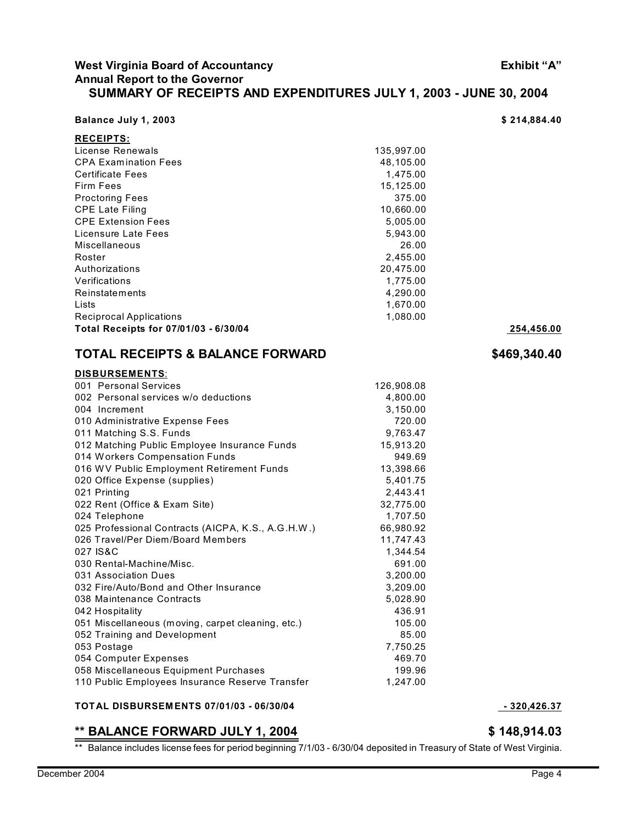### **West Virginia Board of Accountancy Exhibit "A" Annual Report to the Governor SUMMARY OF RECEIPTS AND EXPENDITURES JULY 1, 2003 - JUNE 30, 2004**

| Balance July 1, 2003 |  |  |  |  |  |  |
|----------------------|--|--|--|--|--|--|
|----------------------|--|--|--|--|--|--|

| <b>RECEIPTS:</b>                      |            |            |
|---------------------------------------|------------|------------|
| License Renewals                      | 135,997.00 |            |
| <b>CPA Examination Fees</b>           | 48,105.00  |            |
| <b>Certificate Fees</b>               | 1,475.00   |            |
| Firm Fees                             | 15,125.00  |            |
| <b>Proctoring Fees</b>                | 375.00     |            |
| <b>CPE Late Filing</b>                | 10,660.00  |            |
| <b>CPE Extension Fees</b>             | 5,005.00   |            |
| Licensure Late Fees                   | 5.943.00   |            |
| <b>Miscellaneous</b>                  | 26.00      |            |
| Roster                                | 2,455.00   |            |
| Authorizations                        | 20,475.00  |            |
| Verifications                         | 1,775.00   |            |
| Reinstatements                        | 4,290.00   |            |
| Lists                                 | 1.670.00   |            |
| Reciprocal Applications               | 1.080.00   |            |
| Total Receipts for 07/01/03 - 6/30/04 |            | 254.456.00 |

# **TOTAL RECEIPTS & BALANCE FORWARD \$469,340.40**

#### **DISBURSEMENTS**: 001 Personal Services 126,908.08 002 Personal services w/o deductions 4,800.00 004 Increment 3,150.00 010 Administrative Expense Fees 720.00 011 Matching S.S. Funds 9,763.47 012 Matching Public Employee Insurance Funds 15,913.20 014 Workers Compensation Funds 949.69 016 WV Public Employment Retirement Funds 13,398.66 020 Office Expense (supplies) 5,401.75 021 Printing 2,443.41 022 Rent (Office & Exam Site) 32,775.00 024 Telephone 1,707.50 025 Professional Contracts (AICPA, K.S., A.G.H.W.) 66,980.92 026 Travel/Per Diem/Board Members 11,747.43 027 IS&C 2008 2027 1,344.54 030 Rental-Machine/Misc. 691.00 031 Association Dues 3,200.00 032 Fire/Auto/Bond and Other Insurance 3,209.00 038 Maintenance Contracts 5,028.90 042 Hospitality 436.91 051 Miscellaneous (moving, carpet cleaning, etc.) 105.00 052 Training and Development 85.00 053 Postage 7,750.25 054 Computer Expenses **469.70** 058 Miscellaneous Equipment Purchases 199.96 110 Public Employees Insurance Reserve Transfer 1,247.00

#### **TOTAL DISBURSEM ENTS 07/01/03 - 06/30/04 - 320,426.37**

### **\*\* BALANCE FORWARD JULY 1, 2004 \$ 148,914.03**

\*\* Balance includes license fees for period beginning 7/1/03 - 6/30/04 deposited in Treasury of State of West Virginia.

\$ 214,884.40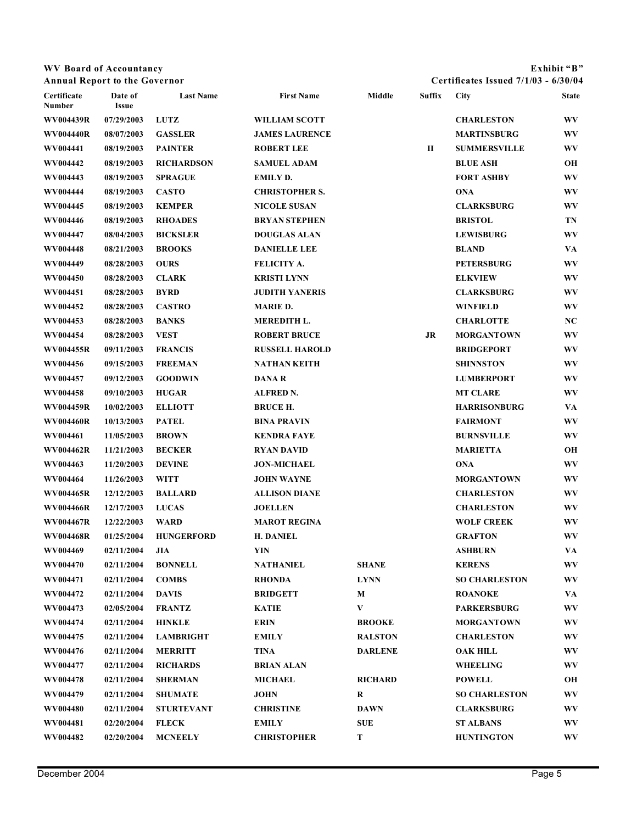## **WV Board of Accountancy Exhibit "B"**

**Annual Report to the Governor Certificates Issued 7/1/03 - 6/30/04**

| Certificate<br>Number | Date of<br><b>Issue</b> | <b>Last Name</b>  | <b>First Name</b>     | Middle         | Suffix | <b>City</b>          | <b>State</b> |
|-----------------------|-------------------------|-------------------|-----------------------|----------------|--------|----------------------|--------------|
| WV004439R             | 07/29/2003              | <b>LUTZ</b>       | <b>WILLIAM SCOTT</b>  |                |        | <b>CHARLESTON</b>    | <b>WV</b>    |
| WV004440R             | 08/07/2003              | <b>GASSLER</b>    | <b>JAMES LAURENCE</b> |                |        | <b>MARTINSBURG</b>   | <b>WV</b>    |
| WV004441              | 08/19/2003              | <b>PAINTER</b>    | <b>ROBERT LEE</b>     |                | П      | <b>SUMMERSVILLE</b>  | WV           |
| WV004442              | 08/19/2003              | <b>RICHARDSON</b> | <b>SAMUEL ADAM</b>    |                |        | <b>BLUE ASH</b>      | OН           |
| WV004443              | 08/19/2003              | <b>SPRAGUE</b>    | <b>EMILY D.</b>       |                |        | <b>FORT ASHBY</b>    | <b>WV</b>    |
| WV004444              | 08/19/2003              | <b>CASTO</b>      | <b>CHRISTOPHER S.</b> |                |        | <b>ONA</b>           | <b>WV</b>    |
| WV004445              | 08/19/2003              | <b>KEMPER</b>     | <b>NICOLE SUSAN</b>   |                |        | <b>CLARKSBURG</b>    | WV           |
| WV004446              | 08/19/2003              | <b>RHOADES</b>    | <b>BRYAN STEPHEN</b>  |                |        | <b>BRISTOL</b>       | TN           |
| WV004447              | 08/04/2003              | <b>BICKSLER</b>   | <b>DOUGLAS ALAN</b>   |                |        | <b>LEWISBURG</b>     | <b>WV</b>    |
| WV004448              | 08/21/2003              | <b>BROOKS</b>     | <b>DANIELLE LEE</b>   |                |        | <b>BLAND</b>         | VA           |
| WV004449              | 08/28/2003              | <b>OURS</b>       | FELICITY A.           |                |        | <b>PETERSBURG</b>    | WV           |
| WV004450              | 08/28/2003              | <b>CLARK</b>      | <b>KRISTI LYNN</b>    |                |        | <b>ELKVIEW</b>       | WV           |
| WV004451              | 08/28/2003              | <b>BYRD</b>       | <b>JUDITH YANERIS</b> |                |        | <b>CLARKSBURG</b>    | WV           |
| WV004452              | 08/28/2003              | <b>CASTRO</b>     | <b>MARIE D.</b>       |                |        | <b>WINFIELD</b>      | WV           |
| WV004453              | 08/28/2003              | <b>BANKS</b>      | MEREDITH L.           |                |        | <b>CHARLOTTE</b>     | NC           |
| WV004454              | 08/28/2003              | <b>VEST</b>       | <b>ROBERT BRUCE</b>   |                | JR     | <b>MORGANTOWN</b>    | WV           |
| WV004455R             | 09/11/2003              | <b>FRANCIS</b>    | <b>RUSSELL HAROLD</b> |                |        | <b>BRIDGEPORT</b>    | WV           |
| WV004456              | 09/15/2003              | <b>FREEMAN</b>    | <b>NATHAN KEITH</b>   |                |        | <b>SHINNSTON</b>     | WV           |
| WV004457              | 09/12/2003              | <b>GOODWIN</b>    | <b>DANAR</b>          |                |        | <b>LUMBERPORT</b>    | <b>WV</b>    |
| WV004458              | 09/10/2003              | <b>HUGAR</b>      | ALFRED N.             |                |        | <b>MT CLARE</b>      | <b>WV</b>    |
| WV004459R             | 10/02/2003              | <b>ELLIOTT</b>    | <b>BRUCE H.</b>       |                |        | <b>HARRISONBURG</b>  | VA           |
| <b>WV004460R</b>      | 10/13/2003              | <b>PATEL</b>      | <b>BINA PRAVIN</b>    |                |        | <b>FAIRMONT</b>      | WV           |
| WV004461              | 11/05/2003              | <b>BROWN</b>      | <b>KENDRA FAYE</b>    |                |        | <b>BURNSVILLE</b>    | <b>WV</b>    |
| WV004462R             | 11/21/2003              | <b>BECKER</b>     | <b>RYAN DAVID</b>     |                |        | <b>MARIETTA</b>      | OН           |
| WV004463              | 11/20/2003              | <b>DEVINE</b>     | <b>JON-MICHAEL</b>    |                |        | <b>ONA</b>           | <b>WV</b>    |
| WV004464              | 11/26/2003              | <b>WITT</b>       | <b>JOHN WAYNE</b>     |                |        | <b>MORGANTOWN</b>    | <b>WV</b>    |
| WV004465R             | 12/12/2003              | <b>BALLARD</b>    | <b>ALLISON DIANE</b>  |                |        | <b>CHARLESTON</b>    | WV           |
| <b>WV004466R</b>      | 12/17/2003              | <b>LUCAS</b>      | <b>JOELLEN</b>        |                |        | <b>CHARLESTON</b>    | WV           |
| WV004467R             | 12/22/2003              | <b>WARD</b>       | <b>MAROT REGINA</b>   |                |        | <b>WOLF CREEK</b>    | <b>WV</b>    |
| <b>WV004468R</b>      | 01/25/2004              | <b>HUNGERFORD</b> | <b>H. DANIEL</b>      |                |        | <b>GRAFTON</b>       | <b>WV</b>    |
| WV004469              | 02/11/2004              | <b>JIA</b>        | YIN                   |                |        | <b>ASHBURN</b>       | VA           |
| WV004470              | 02/11/2004              | <b>BONNELL</b>    | NATHANIEL             | <b>SHANE</b>   |        | <b>KERENS</b>        | WV           |
| WV004471              | 02/11/2004              | <b>COMBS</b>      | <b>RHONDA</b>         | <b>LYNN</b>    |        | <b>SO CHARLESTON</b> | WV           |
| <b>WV004472</b>       | 02/11/2004              | <b>DAVIS</b>      | <b>BRIDGETT</b>       | М              |        | <b>ROANOKE</b>       | VA           |
| WV004473              | 02/05/2004              | <b>FRANTZ</b>     | <b>KATIE</b>          | V              |        | <b>PARKERSBURG</b>   | WV           |
| WV004474              | 02/11/2004              | <b>HINKLE</b>     | <b>ERIN</b>           | <b>BROOKE</b>  |        | <b>MORGANTOWN</b>    | WV           |
| WV004475              | 02/11/2004              | <b>LAMBRIGHT</b>  | <b>EMILY</b>          | <b>RALSTON</b> |        | <b>CHARLESTON</b>    | WV           |
| WV004476              | 02/11/2004              | <b>MERRITT</b>    | TINA                  | <b>DARLENE</b> |        | <b>OAK HILL</b>      | WV           |
| WV004477              | 02/11/2004              | <b>RICHARDS</b>   | <b>BRIAN ALAN</b>     |                |        | <b>WHEELING</b>      | WV           |
| WV004478              | 02/11/2004              | <b>SHERMAN</b>    | <b>MICHAEL</b>        | <b>RICHARD</b> |        | <b>POWELL</b>        | OН           |
| WV004479              | 02/11/2004              | <b>SHUMATE</b>    | <b>JOHN</b>           | R              |        | <b>SO CHARLESTON</b> | WV           |
| WV004480              | 02/11/2004              | <b>STURTEVANT</b> | <b>CHRISTINE</b>      | <b>DAWN</b>    |        | <b>CLARKSBURG</b>    | WV           |
| WV004481              | 02/20/2004              | <b>FLECK</b>      | <b>EMILY</b>          | <b>SUE</b>     |        | <b>ST ALBANS</b>     | WV           |
| WV004482              | 02/20/2004              | <b>MCNEELY</b>    | <b>CHRISTOPHER</b>    | T              |        | <b>HUNTINGTON</b>    | WV           |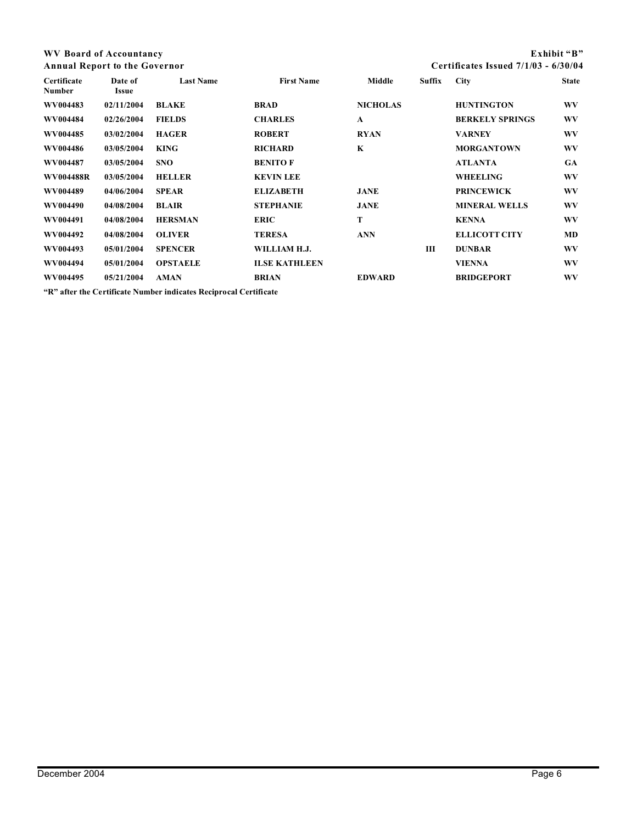| WV Board of Accountancy              |                  |                  |                   |                 |                                        |                        | Exhibit "B"  |
|--------------------------------------|------------------|------------------|-------------------|-----------------|----------------------------------------|------------------------|--------------|
| <b>Annual Report to the Governor</b> |                  |                  |                   |                 | Certificates Issued $7/1/03 - 6/30/04$ |                        |              |
| Certificate<br>Number                | Date of<br>Issue | <b>Last Name</b> | <b>First Name</b> | Middle          | Suffix                                 | <b>City</b>            | <b>State</b> |
| WV004483                             | 02/11/2004       | <b>BLAKE</b>     | <b>BRAD</b>       | <b>NICHOLAS</b> |                                        | <b>HUNTINGTON</b>      | <b>WV</b>    |
| WV004484                             | 02/26/2004       | <b>FIELDS</b>    | <b>CHARLES</b>    | $\mathbf{A}$    |                                        | <b>BERKELY SPRINGS</b> | WV           |
| WV004485                             | 03/02/2004       | <b>HAGER</b>     | <b>ROBERT</b>     | <b>RYAN</b>     |                                        | <b>VARNEY</b>          | WV           |
| WV004486                             | 03/05/2004       | <b>KING</b>      | <b>RICHARD</b>    | K               |                                        | <b>MORGANTOWN</b>      | WV           |
| WV004487                             | 03/05/2004       | <b>SNO</b>       | <b>BENITO F</b>   |                 |                                        | <b>ATLANTA</b>         | <b>GA</b>    |
| WV004488R                            | 03/05/2004       | <b>HELLER</b>    | <b>KEVIN LEE</b>  |                 |                                        | <b>WHEELING</b>        | WV           |
| WV004489                             | 04/06/2004       | <b>SPEAR</b>     | <b>ELIZABETH</b>  | <b>JANE</b>     |                                        | <b>PRINCEWICK</b>      | WV           |
| WV004490                             | 04/08/2004       | <b>BLAIR</b>     | <b>STEPHANIE</b>  | <b>JANE</b>     |                                        | <b>MINERAL WELLS</b>   | WV           |
| WV004491                             | 04/08/2004       | <b>HERSMAN</b>   | <b>ERIC</b>       | T               |                                        | <b>KENNA</b>           | WV           |
| WV004492                             | 04/08/2004       | <b>OLIVER</b>    | <b>TERESA</b>     | <b>ANN</b>      |                                        | <b>ELLICOTT CITY</b>   | <b>MD</b>    |
| WV004493                             | 05/01/2004       | <b>SPENCER</b>   | WILLIAM H.J.      |                 | Ш                                      | <b>DUNBAR</b>          | WV           |

**WV004494 05/01/2004 OPSTAELE ILSE KATHLEEN VIENNA WV WV004495 05/21/2004 AMAN BRIAN EDWARD BRIDGEPORT WV**

**"R" after the Certificate Number indicates Reciprocal Certificate**